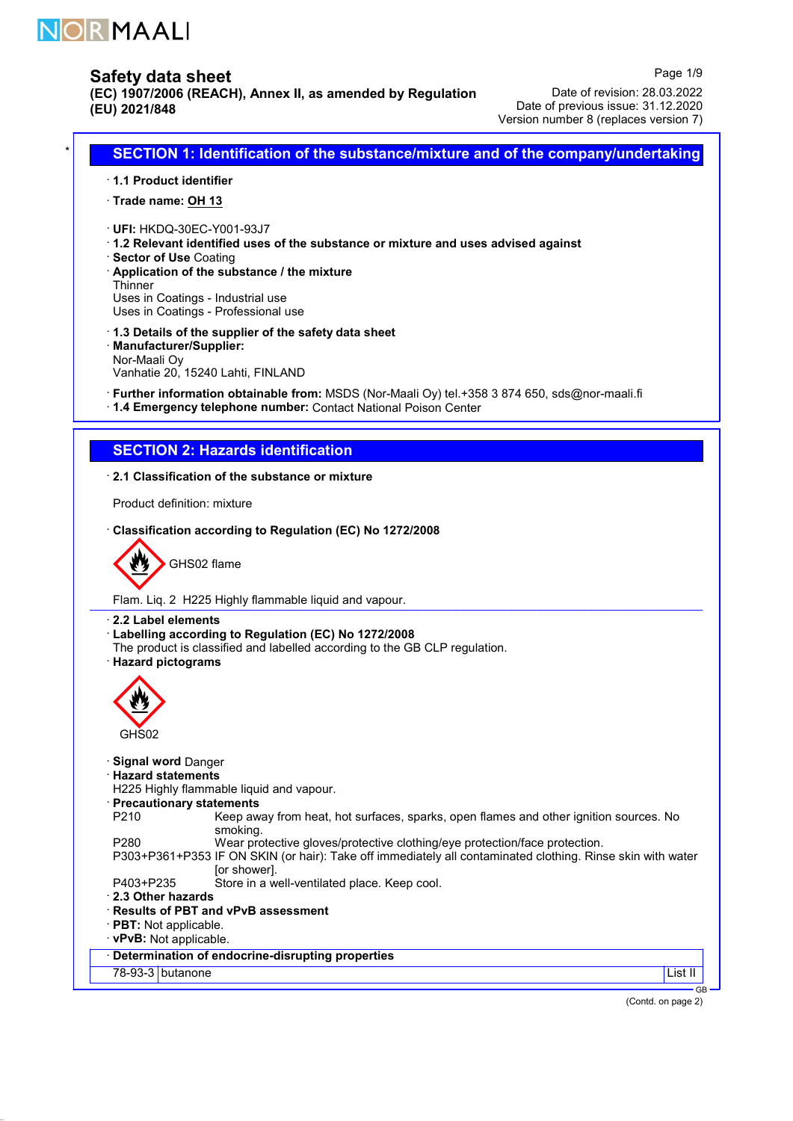

(EC) 1907/2006 (REACH), Annex II, as amended by Regulation (EU) 2021/848

Date of revision: 28.03.2022 Date of previous issue: 31.12.2020 Version number 8 (replaces version 7)

Page 1/9

# SECTION 1: Identification of the substance/mixture and of the company/undertaking

- · 1.1 Product identifier
- · Trade name: OH 13
- · UFI: HKDQ-30EC-Y001-93J7
- · 1.2 Relevant identified uses of the substance or mixture and uses advised against
- · Sector of Use Coating
- · Application of the substance / the mixture Thinner

Uses in Coatings - Industrial use

- Uses in Coatings Professional use
- · 1.3 Details of the supplier of the safety data sheet
- · Manufacturer/Supplier:

Nor-Maali Oy

Vanhatie 20, 15240 Lahti, FINLAND

- · Further information obtainable from: MSDS (Nor-Maali Oy) tel.+358 3 874 650, sds@nor-maali.fi
- · 1.4 Emergency telephone number: Contact National Poison Center

# SECTION 2: Hazards identification

### · 2.1 Classification of the substance or mixture

Product definition: mixture

### · Classification according to Regulation (EC) No 1272/2008



Flam. Liq. 2 H225 Highly flammable liquid and vapour.

#### · 2.2 Label elements

- · Labelling according to Regulation (EC) No 1272/2008
- The product is classified and labelled according to the GB CLP regulation.

#### · Hazard pictograms



- · Signal word Danger
- · Hazard statements
- H225 Highly flammable liquid and vapour.
- · Precautionary statements
- P210 Keep away from heat, hot surfaces, sparks, open flames and other ignition sources. No smoking.
- P280 Wear protective gloves/protective clothing/eye protection/face protection.
- P303+P361+P353 IF ON SKIN (or hair): Take off immediately all contaminated clothing. Rinse skin with water [or shower].
- P403+P235 Store in a well-ventilated place. Keep cool.
- · 2.3 Other hazards
- · Results of PBT and vPvB assessment
- · PBT: Not applicable.

### · vPvB: Not applicable.

· Determination of endocrine-disrupting properties

## 78-93-3 butanone List III et al. 2001 et al. 2001 et al. 2004 et al. 2004 et al. 2004 et al. 2004 et al. 2004

 $\overline{C}$ (Contd. on page 2)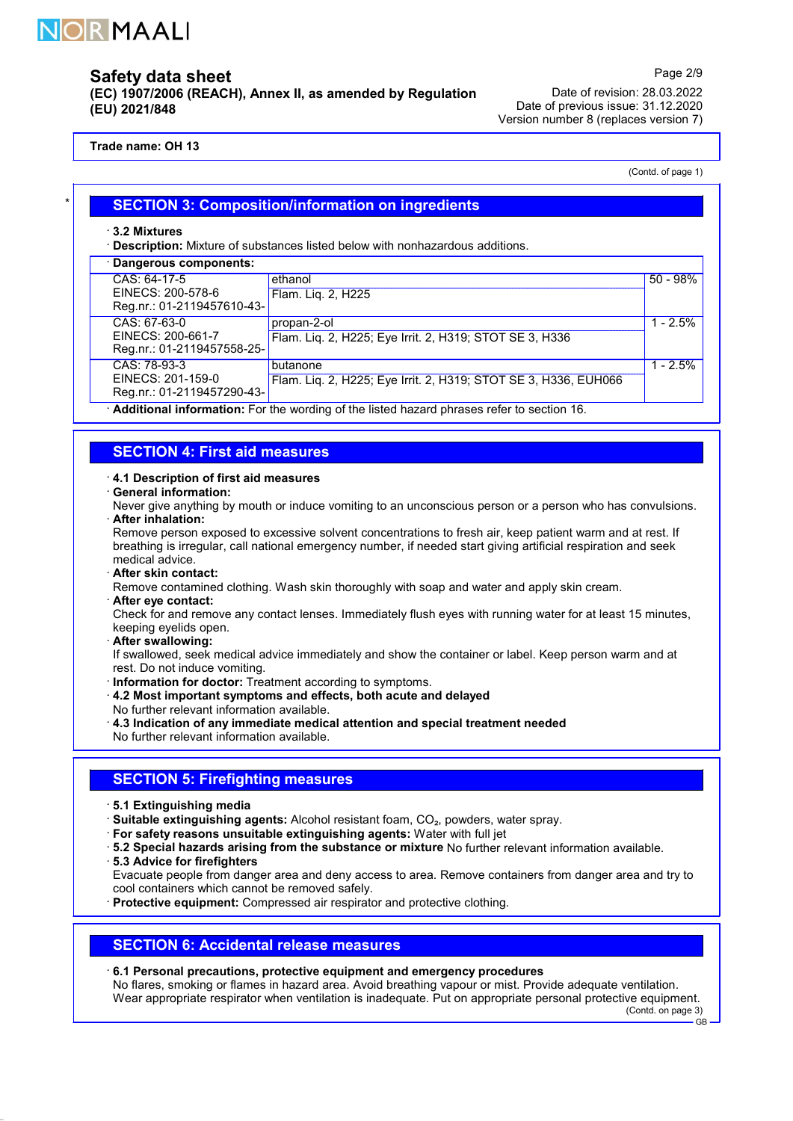

(EC) 1907/2006 (REACH), Annex II, as amended by Regulation (EU) 2021/848

Date of revision: 28.03.2022 Date of previous issue: 31.12.2020 Version number 8 (replaces version 7)

### Trade name: OH 13

(Contd. of page 1)

Page 2/9

| <b>SECTION 3: Composition/information on ingredients</b> |
|----------------------------------------------------------|
|                                                          |

· 3.2 Mixtures

· Description: Mixture of substances listed below with nonhazardous additions.

| CAS: 64-17-5<br>ethanol<br>EINECS: 200-578-6<br>Flam. Liq. 2, H225<br>Reg.nr.: 01-2119457610-43-                                               | $50 - 98%$ |
|------------------------------------------------------------------------------------------------------------------------------------------------|------------|
|                                                                                                                                                |            |
| CAS: 67-63-0<br>propan-2-ol<br>EINECS: 200-661-7<br>Flam. Lig. 2, H225; Eye Irrit. 2, H319; STOT SE 3, H336<br>Reg.nr.: 01-2119457558-25-      | $1 - 2.5%$ |
| CAS: 78-93-3<br>butanone<br>EINECS: 201-159-0<br>Flam. Liq. 2, H225; Eye Irrit. 2, H319; STOT SE 3, H336, EUH066<br>Reg.nr.: 01-2119457290-43- | $1 - 2.5%$ |

· Additional information: For the wording of the listed hazard phrases refer to section 16.

### SECTION 4: First aid measures

#### · 4.1 Description of first aid measures

### · General information:

Never give anything by mouth or induce vomiting to an unconscious person or a person who has convulsions. · After inhalation:

Remove person exposed to excessive solvent concentrations to fresh air, keep patient warm and at rest. If breathing is irregular, call national emergency number, if needed start giving artificial respiration and seek medical advice.

· After skin contact:

Remove contamined clothing. Wash skin thoroughly with soap and water and apply skin cream.

· After eye contact:

Check for and remove any contact lenses. Immediately flush eyes with running water for at least 15 minutes, keeping eyelids open.

After swallowing:

If swallowed, seek medical advice immediately and show the container or label. Keep person warm and at rest. Do not induce vomiting.

- · Information for doctor: Treatment according to symptoms.
- · 4.2 Most important symptoms and effects, both acute and delayed
- No further relevant information available.
- · 4.3 Indication of any immediate medical attention and special treatment needed
- No further relevant information available.

## SECTION 5: Firefighting measures

- · 5.1 Extinguishing media
- · Suitable extinguishing agents: Alcohol resistant foam, CO₂, powders, water spray.
- · For safety reasons unsuitable extinguishing agents: Water with full jet
- · 5.2 Special hazards arising from the substance or mixture No further relevant information available.
- · 5.3 Advice for firefighters

Evacuate people from danger area and deny access to area. Remove containers from danger area and try to cool containers which cannot be removed safely.

· Protective equipment: Compressed air respirator and protective clothing.

### SECTION 6: Accidental release measures

### · 6.1 Personal precautions, protective equipment and emergency procedures

No flares, smoking or flames in hazard area. Avoid breathing vapour or mist. Provide adequate ventilation. Wear appropriate respirator when ventilation is inadequate. Put on appropriate personal protective equipment.

(Contd. on page 3) GB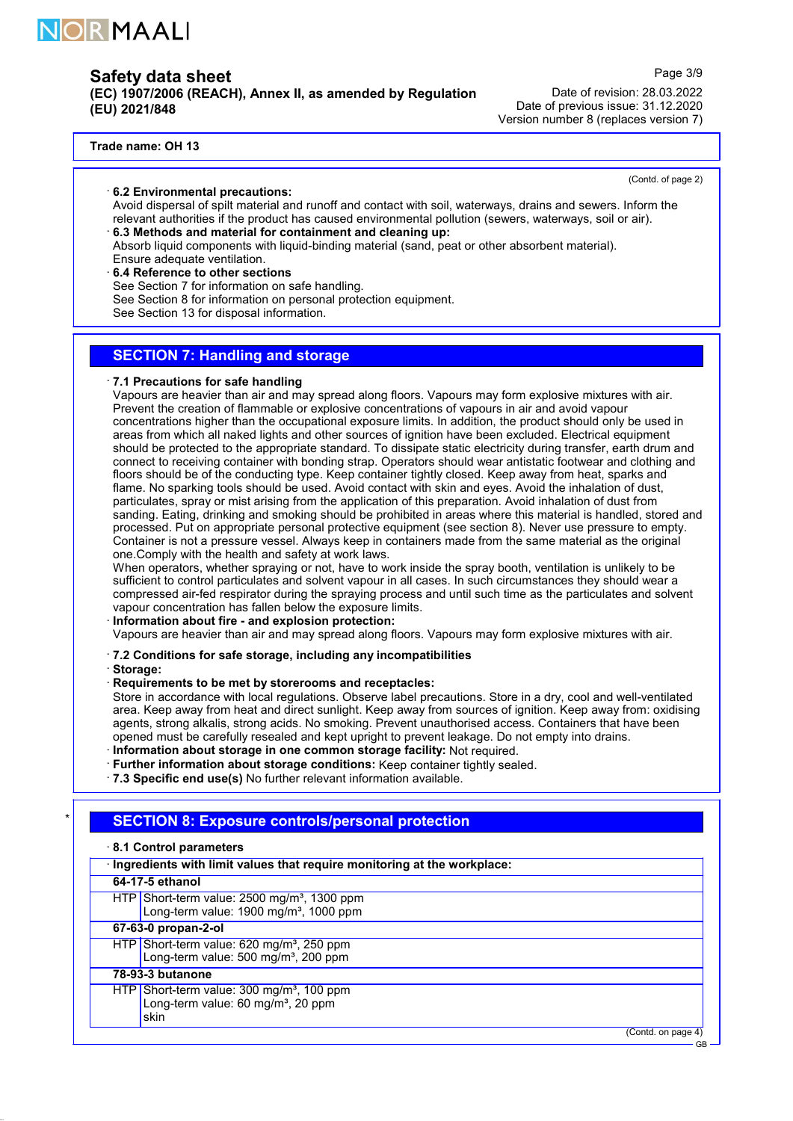

(EC) 1907/2006 (REACH), Annex II, as amended by Regulation (EU) 2021/848

Date of revision: 28.03.2022 Date of previous issue: 31.12.2020 Version number 8 (replaces version 7)

### Trade name: OH 13

#### · 6.2 Environmental precautions:

(Contd. of page 2)

GB

Page 3/9

- Avoid dispersal of spilt material and runoff and contact with soil, waterways, drains and sewers. Inform the relevant authorities if the product has caused environmental pollution (sewers, waterways, soil or air).
- · 6.3 Methods and material for containment and cleaning up:
- Absorb liquid components with liquid-binding material (sand, peat or other absorbent material). Ensure adequate ventilation.
- · 6.4 Reference to other sections
- See Section 7 for information on safe handling.
- See Section 8 for information on personal protection equipment.
- See Section 13 for disposal information.

# SECTION 7: Handling and storage

#### · 7.1 Precautions for safe handling

Vapours are heavier than air and may spread along floors. Vapours may form explosive mixtures with air. Prevent the creation of flammable or explosive concentrations of vapours in air and avoid vapour concentrations higher than the occupational exposure limits. In addition, the product should only be used in areas from which all naked lights and other sources of ignition have been excluded. Electrical equipment should be protected to the appropriate standard. To dissipate static electricity during transfer, earth drum and connect to receiving container with bonding strap. Operators should wear antistatic footwear and clothing and floors should be of the conducting type. Keep container tightly closed. Keep away from heat, sparks and flame. No sparking tools should be used. Avoid contact with skin and eyes. Avoid the inhalation of dust, particulates, spray or mist arising from the application of this preparation. Avoid inhalation of dust from sanding. Eating, drinking and smoking should be prohibited in areas where this material is handled, stored and processed. Put on appropriate personal protective equipment (see section 8). Never use pressure to empty. Container is not a pressure vessel. Always keep in containers made from the same material as the original one.Comply with the health and safety at work laws.

When operators, whether spraying or not, have to work inside the spray booth, ventilation is unlikely to be sufficient to control particulates and solvent vapour in all cases. In such circumstances they should wear a compressed air-fed respirator during the spraying process and until such time as the particulates and solvent vapour concentration has fallen below the exposure limits.

#### · Information about fire - and explosion protection:

Vapours are heavier than air and may spread along floors. Vapours may form explosive mixtures with air.

- · 7.2 Conditions for safe storage, including any incompatibilities
- · Storage:
- · Requirements to be met by storerooms and receptacles:

Store in accordance with local regulations. Observe label precautions. Store in a dry, cool and well-ventilated area. Keep away from heat and direct sunlight. Keep away from sources of ignition. Keep away from: oxidising agents, strong alkalis, strong acids. No smoking. Prevent unauthorised access. Containers that have been opened must be carefully resealed and kept upright to prevent leakage. Do not empty into drains.

- · Information about storage in one common storage facility: Not required.
- · Further information about storage conditions: Keep container tightly sealed.
- · 7.3 Specific end use(s) No further relevant information available.

# **SECTION 8: Exposure controls/personal protection**

| 8.1 Control parameters                                                                                         |  |
|----------------------------------------------------------------------------------------------------------------|--|
| · Ingredients with limit values that require monitoring at the workplace:                                      |  |
| 64-17-5 ethanol                                                                                                |  |
| HTP Short-term value: $2500 \text{ mg/m}^3$ , 1300 ppm<br>Long-term value: 1900 mg/m <sup>3</sup> , 1000 ppm   |  |
| 67-63-0 propan-2-ol                                                                                            |  |
| HTP Short-term value: 620 mg/m <sup>3</sup> , 250 ppm<br>Long-term value: 500 mg/m <sup>3</sup> , 200 ppm      |  |
| 78-93-3 butanone                                                                                               |  |
| HTP Short-term value: $300 \text{ mg/m}^3$ , 100 ppm<br>Long-term value: 60 mg/m <sup>3</sup> , 20 ppm<br>skin |  |
| (Contd. on page 4                                                                                              |  |
|                                                                                                                |  |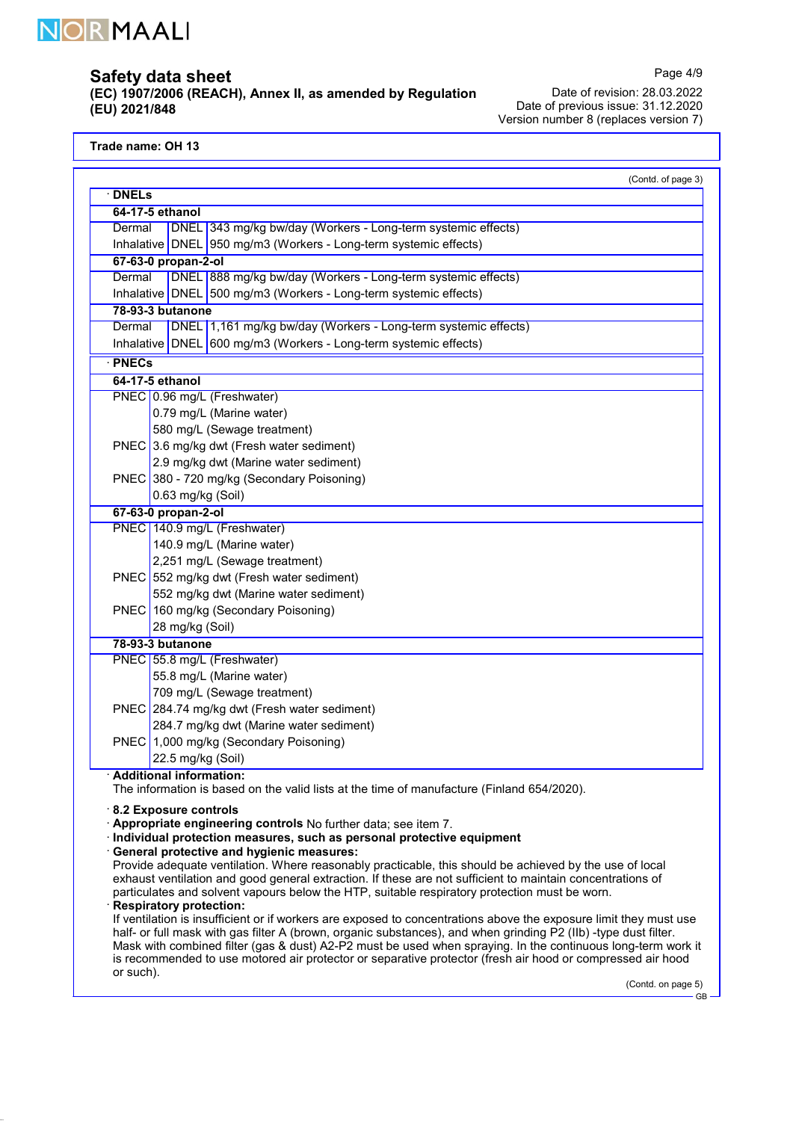

(EC) 1907/2006 (REACH), Annex II, as amended by Regulation (EU) 2021/848

Date of revision: 28.03.2022 Date of previous issue: 31.12.2020 Version number 8 (replaces version 7)

Trade name: OH 13

|              |                                                 |                                                                                                                                                                                                             | (Contd. of page 3) |
|--------------|-------------------------------------------------|-------------------------------------------------------------------------------------------------------------------------------------------------------------------------------------------------------------|--------------------|
| <b>DNELs</b> |                                                 |                                                                                                                                                                                                             |                    |
|              | 64-17-5 ethanol                                 |                                                                                                                                                                                                             |                    |
| Dermal       |                                                 | DNEL 343 mg/kg bw/day (Workers - Long-term systemic effects)                                                                                                                                                |                    |
|              |                                                 | Inhalative DNEL 950 mg/m3 (Workers - Long-term systemic effects)                                                                                                                                            |                    |
|              | 67-63-0 propan-2-ol                             |                                                                                                                                                                                                             |                    |
| Dermal       |                                                 | DNEL 888 mg/kg bw/day (Workers - Long-term systemic effects)                                                                                                                                                |                    |
|              |                                                 | Inhalative   DNEL   500 mg/m3 (Workers - Long-term systemic effects)                                                                                                                                        |                    |
|              | 78-93-3 butanone                                |                                                                                                                                                                                                             |                    |
| Dermal       |                                                 | DNEL 1,161 mg/kg bw/day (Workers - Long-term systemic effects)                                                                                                                                              |                    |
|              |                                                 | Inhalative DNEL 600 mg/m3 (Workers - Long-term systemic effects)                                                                                                                                            |                    |
| · PNECs      |                                                 |                                                                                                                                                                                                             |                    |
|              | 64-17-5 ethanol                                 |                                                                                                                                                                                                             |                    |
|              |                                                 | PNEC 0.96 mg/L (Freshwater)                                                                                                                                                                                 |                    |
|              |                                                 | 0.79 mg/L (Marine water)                                                                                                                                                                                    |                    |
|              |                                                 | 580 mg/L (Sewage treatment)                                                                                                                                                                                 |                    |
|              |                                                 | PNEC 3.6 mg/kg dwt (Fresh water sediment)                                                                                                                                                                   |                    |
|              |                                                 | 2.9 mg/kg dwt (Marine water sediment)                                                                                                                                                                       |                    |
|              |                                                 | PNEC 380 - 720 mg/kg (Secondary Poisoning)                                                                                                                                                                  |                    |
|              | 0.63 mg/kg (Soil)                               |                                                                                                                                                                                                             |                    |
|              | 67-63-0 propan-2-ol                             |                                                                                                                                                                                                             |                    |
|              |                                                 | PNEC 140.9 mg/L (Freshwater)                                                                                                                                                                                |                    |
|              |                                                 | 140.9 mg/L (Marine water)                                                                                                                                                                                   |                    |
|              |                                                 | 2,251 mg/L (Sewage treatment)                                                                                                                                                                               |                    |
|              |                                                 | PNEC 552 mg/kg dwt (Fresh water sediment)                                                                                                                                                                   |                    |
|              |                                                 | 552 mg/kg dwt (Marine water sediment)                                                                                                                                                                       |                    |
|              |                                                 | PNEC 160 mg/kg (Secondary Poisoning)                                                                                                                                                                        |                    |
|              | 28 mg/kg (Soil)                                 |                                                                                                                                                                                                             |                    |
|              | 78-93-3 butanone<br>PNEC 55.8 mg/L (Freshwater) |                                                                                                                                                                                                             |                    |
|              |                                                 |                                                                                                                                                                                                             |                    |
|              |                                                 | 55.8 mg/L (Marine water)<br>709 mg/L (Sewage treatment)                                                                                                                                                     |                    |
|              |                                                 | PNEC 284.74 mg/kg dwt (Fresh water sediment)                                                                                                                                                                |                    |
|              |                                                 | 284.7 mg/kg dwt (Marine water sediment)                                                                                                                                                                     |                    |
|              |                                                 | PNEC 1,000 mg/kg (Secondary Poisoning)                                                                                                                                                                      |                    |
|              | 22.5 mg/kg (Soil)                               |                                                                                                                                                                                                             |                    |
|              | · Additional information:                       |                                                                                                                                                                                                             |                    |
|              |                                                 | The information is based on the valid lists at the time of manufacture (Finland 654/2020).                                                                                                                  |                    |
|              |                                                 |                                                                                                                                                                                                             |                    |
|              | $\cdot$ 8.2 Exposure controls                   | Appropriate engineering controls No further data; see item 7.                                                                                                                                               |                    |
|              |                                                 | Individual protection measures, such as personal protective equipment                                                                                                                                       |                    |
|              |                                                 | <b>General protective and hygienic measures:</b>                                                                                                                                                            |                    |
|              |                                                 | Provide adequate ventilation. Where reasonably practicable, this should be achieved by the use of local                                                                                                     |                    |
|              |                                                 | exhaust ventilation and good general extraction. If these are not sufficient to maintain concentrations of<br>particulates and solvent vapours below the HTP, suitable respiratory protection must be worn. |                    |
|              | <b>Respiratory protection:</b>                  |                                                                                                                                                                                                             |                    |
|              |                                                 | If ventilation is insufficient or if workers are exposed to concentrations above the exposure limit they must use                                                                                           |                    |
|              |                                                 | half- or full mask with gas filter A (brown, organic substances), and when grinding P2 (IIb) -type dust filter.                                                                                             |                    |
|              |                                                 | Mask with combined filter (gas & dust) A2-P2 must be used when spraying. In the continuous long-term work it                                                                                                |                    |
| or such).    |                                                 | is recommended to use motored air protector or separative protector (fresh air hood or compressed air hood                                                                                                  |                    |
|              |                                                 |                                                                                                                                                                                                             | (Contd. on page 5) |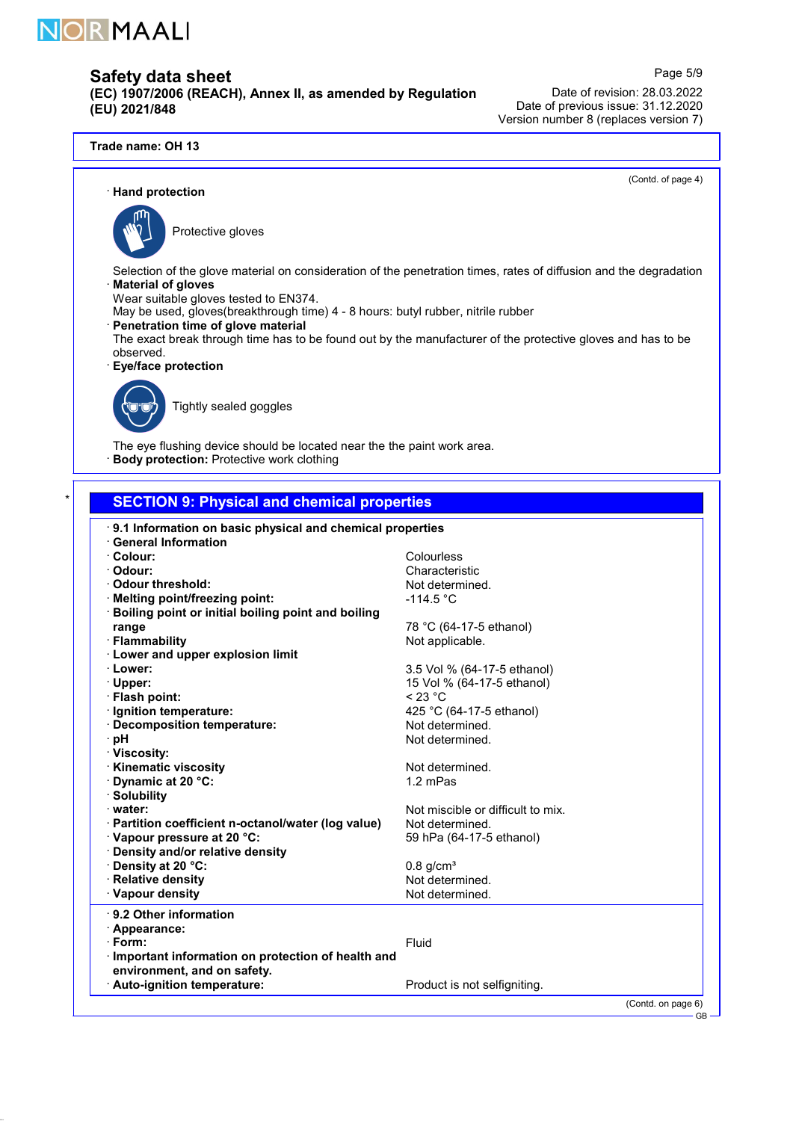

(EC) 1907/2006 (REACH), Annex II, as amended by Regulation (EU) 2021/848

Date of revision: 28.03.2022 Date of previous issue: 31.12.2020 Version number 8 (replaces version 7)

(Contd. of page 4)

Page 5/9

### · Hand protection



Protective gloves

- Selection of the glove material on consideration of the penetration times, rates of diffusion and the degradation **Material of gloves**
- Wear suitable gloves tested to EN374.
- May be used, gloves(breakthrough time) 4 8 hours: butyl rubber, nitrile rubber
- · Penetration time of glove material
- The exact break through time has to be found out by the manufacturer of the protective gloves and has to be observed.
- · Eye/face protection



Tightly sealed goggles

The eye flushing device should be located near the the paint work area. **Body protection:** Protective work clothing

## **SECTION 9: Physical and chemical properties**

| · 9.1 Information on basic physical and chemical properties |                                   |  |  |
|-------------------------------------------------------------|-----------------------------------|--|--|
| <b>General Information</b>                                  |                                   |  |  |
| · Colour:                                                   | Colourless                        |  |  |
| · Odour:                                                    | Characteristic                    |  |  |
| Odour threshold:                                            | Not determined.                   |  |  |
| Melting point/freezing point:                               | $-114.5 °C$                       |  |  |
| Boiling point or initial boiling point and boiling          |                                   |  |  |
| range                                                       | 78 °C (64-17-5 ethanol)           |  |  |
| · Flammability                                              | Not applicable.                   |  |  |
| <b>Lower and upper explosion limit</b>                      |                                   |  |  |
| · Lower:                                                    | 3.5 Vol % (64-17-5 ethanol)       |  |  |
| · Upper:                                                    | 15 Vol % (64-17-5 ethanol)        |  |  |
| · Flash point:                                              | < 23 °C                           |  |  |
| · Ignition temperature:                                     | 425 °C (64-17-5 ethanol)          |  |  |
| Decomposition temperature:                                  | Not determined.                   |  |  |
| ∙ pH                                                        | Not determined.                   |  |  |
| · Viscosity:                                                |                                   |  |  |
| <b>Kinematic viscosity</b>                                  | Not determined.                   |  |  |
| Dynamic at 20 °C:                                           | 1.2 mPas                          |  |  |
| · Solubility                                                |                                   |  |  |
| water:                                                      | Not miscible or difficult to mix. |  |  |
| · Partition coefficient n-octanol/water (log value)         | Not determined.                   |  |  |
| Vapour pressure at 20 °C:                                   | 59 hPa (64-17-5 ethanol)          |  |  |
| · Density and/or relative density                           |                                   |  |  |
| Density at 20 °C:                                           | $0.8$ g/cm <sup>3</sup>           |  |  |
| · Relative density                                          | Not determined.                   |  |  |
| · Vapour density                                            | Not determined.                   |  |  |
| 9.2 Other information                                       |                                   |  |  |
|                                                             |                                   |  |  |
| Appearance:                                                 |                                   |  |  |
| · Form:                                                     | Fluid                             |  |  |
| · Important information on protection of health and         |                                   |  |  |
| environment, and on safety.                                 |                                   |  |  |
| · Auto-ignition temperature:                                | Product is not selfigniting.      |  |  |
|                                                             | (Contd. on page 6)                |  |  |
|                                                             | <b>GB</b>                         |  |  |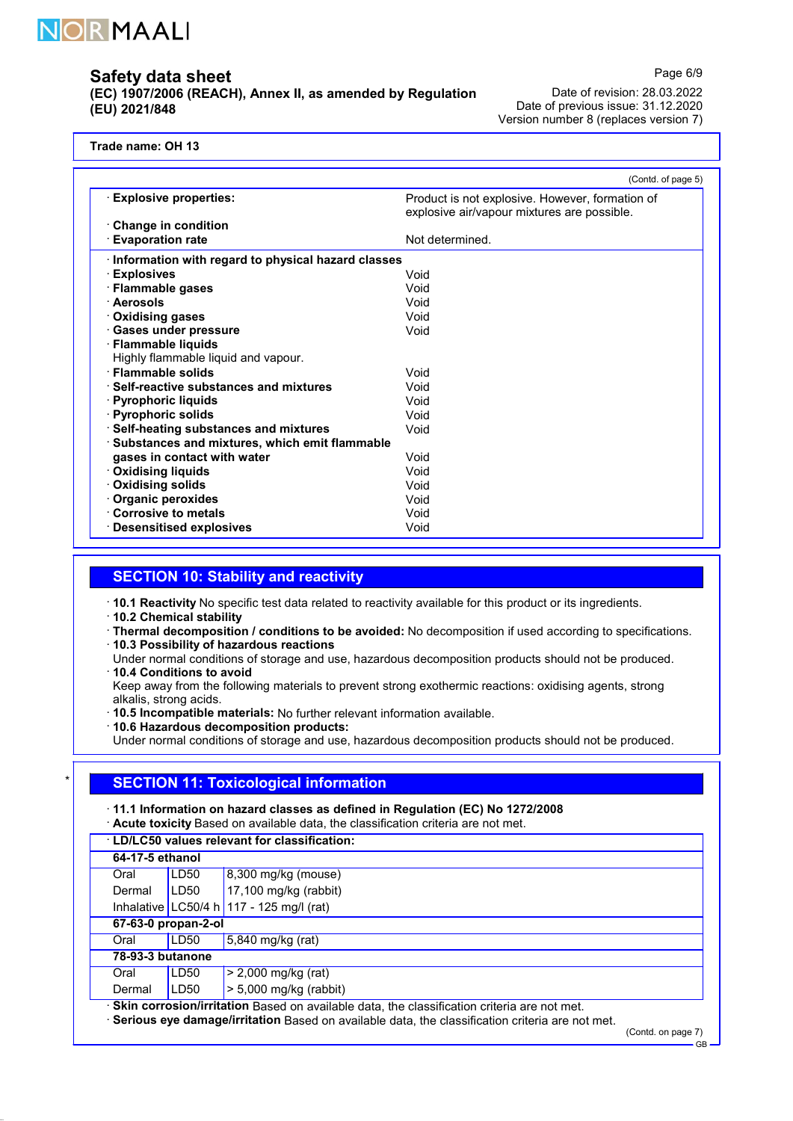

(EC) 1907/2006 (REACH), Annex II, as amended by Regulation (EU) 2021/848

Date of revision: 28.03.2022 Date of previous issue: 31.12.2020 Version number 8 (replaces version 7)

Trade name: OH 13

|                                                    | (Contd. of page 5)                                                                             |
|----------------------------------------------------|------------------------------------------------------------------------------------------------|
| <b>Explosive properties:</b>                       | Product is not explosive. However, formation of<br>explosive air/vapour mixtures are possible. |
| <b>Change in condition</b>                         |                                                                                                |
| <b>Evaporation rate</b>                            | Not determined.                                                                                |
| Information with regard to physical hazard classes |                                                                                                |
| <b>Explosives</b>                                  | Void                                                                                           |
| · Flammable gases                                  | Void                                                                                           |
| · Aerosols                                         | Void                                                                                           |
| <b>Oxidising gases</b>                             | Void                                                                                           |
| <b>Gases under pressure</b>                        | Void                                                                                           |
| <b>Flammable liquids</b>                           |                                                                                                |
| Highly flammable liquid and vapour.                |                                                                                                |
| <b>Flammable solids</b>                            | Void                                                                                           |
| ⋅ Self-reactive substances and mixtures            | Void                                                                                           |
| · Pyrophoric liquids                               | Void                                                                                           |
| · Pyrophoric solids                                | Void                                                                                           |
| · Self-heating substances and mixtures             | Void                                                                                           |
| Substances and mixtures, which emit flammable      |                                                                                                |
| gases in contact with water                        | Void                                                                                           |
| <b>Oxidising liquids</b>                           | Void                                                                                           |
| <b>Oxidising solids</b>                            | Void                                                                                           |
| Organic peroxides                                  | Void                                                                                           |
| Corrosive to metals                                | Void                                                                                           |
| <b>Desensitised explosives</b>                     | Void                                                                                           |

# **SECTION 10: Stability and reactivity**

· 10.1 Reactivity No specific test data related to reactivity available for this product or its ingredients.

· 10.2 Chemical stability

· Thermal decomposition / conditions to be avoided: No decomposition if used according to specifications.

· 10.3 Possibility of hazardous reactions

Under normal conditions of storage and use, hazardous decomposition products should not be produced. · 10.4 Conditions to avoid

Keep away from the following materials to prevent strong exothermic reactions: oxidising agents, strong alkalis, strong acids.

· 10.5 Incompatible materials: No further relevant information available.

· 10.6 Hazardous decomposition products:

Under normal conditions of storage and use, hazardous decomposition products should not be produced.

# **SECTION 11: Toxicological information**

· 11.1 Information on hazard classes as defined in Regulation (EC) No 1272/2008

· Acute toxicity Based on available data, the classification criteria are not met.

| <b>LD/LC50 values relevant for classification:</b>                                                 |      |                                          |  |
|----------------------------------------------------------------------------------------------------|------|------------------------------------------|--|
| 64-17-5 ethanol                                                                                    |      |                                          |  |
| Oral                                                                                               | LD50 | 8,300 mg/kg (mouse)                      |  |
| Dermal                                                                                             | LD50 | 17,100 mg/kg (rabbit)                    |  |
|                                                                                                    |      | Inhalative LC50/4 h 117 - 125 mg/l (rat) |  |
| 67-63-0 propan-2-ol                                                                                |      |                                          |  |
| Oral                                                                                               | LD50 | 5,840 mg/kg (rat)                        |  |
| 78-93-3 butanone                                                                                   |      |                                          |  |
| Oral                                                                                               | LD50 | $> 2,000$ mg/kg (rat)                    |  |
| Dermal                                                                                             | LD50 | $> 5,000$ mg/kg (rabbit)                 |  |
| $\cdot$ Skin corrosion/irritation Based on available data, the classification criteria are not met |      |                                          |  |

· Skin corrosion/irritation Based on available data, the classification criteria are not met.

· Serious eye damage/irritation Based on available data, the classification criteria are not met.

(Contd. on page 7) GB

Page 6/9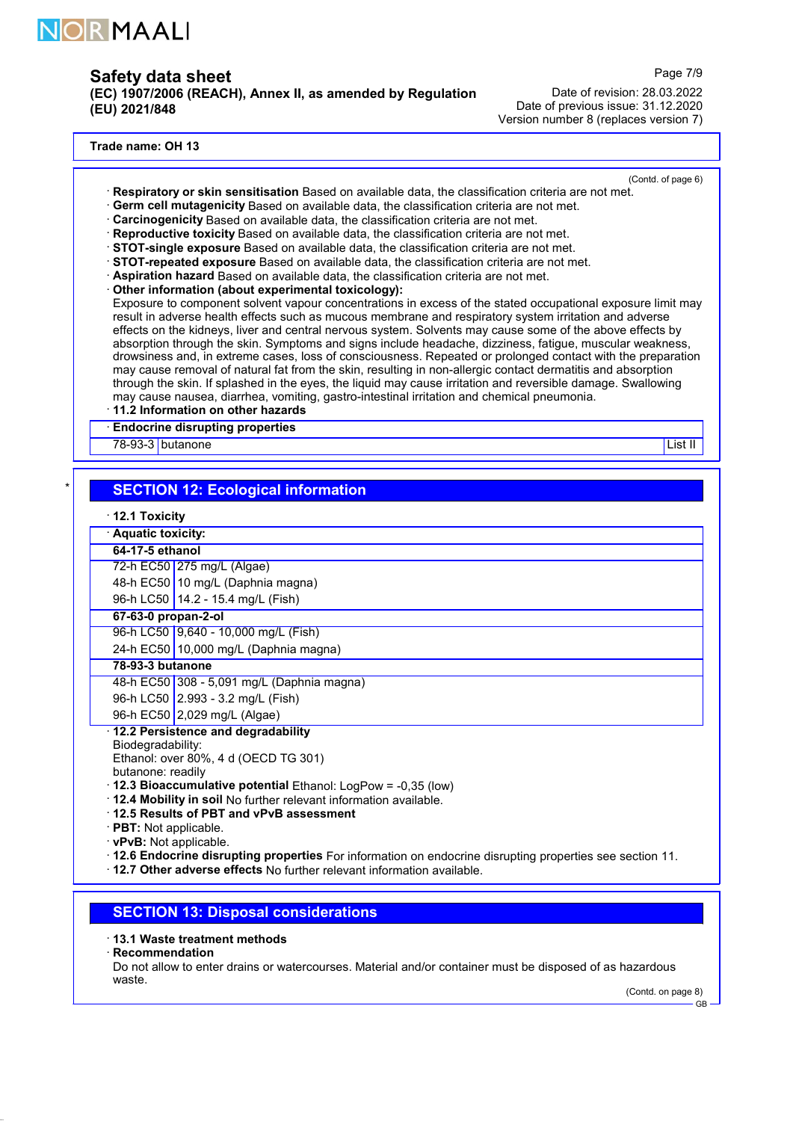

(EC) 1907/2006 (REACH), Annex II, as amended by Regulation (EU) 2021/848

Page 7/9

Date of revision: 28.03.2022 Date of previous issue: 31.12.2020 Version number 8 (replaces version 7)

#### Trade name: OH 13

- (Contd. of page 6) · Respiratory or skin sensitisation Based on available data, the classification criteria are not met.
- · Germ cell mutagenicity Based on available data, the classification criteria are not met.
- · Carcinogenicity Based on available data, the classification criteria are not met.
- · Reproductive toxicity Based on available data, the classification criteria are not met.
- · STOT-single exposure Based on available data, the classification criteria are not met.
- · STOT-repeated exposure Based on available data, the classification criteria are not met.
- · Aspiration hazard Based on available data, the classification criteria are not met.
- · Other information (about experimental toxicology):

Exposure to component solvent vapour concentrations in excess of the stated occupational exposure limit may result in adverse health effects such as mucous membrane and respiratory system irritation and adverse effects on the kidneys, liver and central nervous system. Solvents may cause some of the above effects by absorption through the skin. Symptoms and signs include headache, dizziness, fatigue, muscular weakness, drowsiness and, in extreme cases, loss of consciousness. Repeated or prolonged contact with the preparation may cause removal of natural fat from the skin, resulting in non-allergic contact dermatitis and absorption through the skin. If splashed in the eyes, the liquid may cause irritation and reversible damage. Swallowing may cause nausea, diarrhea, vomiting, gastro-intestinal irritation and chemical pneumonia.

· 11.2 Information on other hazards

**Endocrine disrupting properties** 

<u>78-93-3 butanone List II and the Capital School and the Capital School and the Capital School and List II</u>

## **SECTION 12: Ecological information**

· 12.1 Toxicity

|                                                                      | Aquatic toxicity:                          |  |  |
|----------------------------------------------------------------------|--------------------------------------------|--|--|
| 64-17-5 ethanol                                                      |                                            |  |  |
|                                                                      | 72-h EC50 275 mg/L (Algae)                 |  |  |
|                                                                      | 48-h EC50 10 mg/L (Daphnia magna)          |  |  |
|                                                                      | 96-h LC50   14.2 - 15.4 mg/L (Fish)        |  |  |
|                                                                      | 67-63-0 propan-2-ol                        |  |  |
|                                                                      | 96-h LC50 9.640 - 10.000 mg/L (Fish)       |  |  |
|                                                                      | 24-h EC50 10,000 mg/L (Daphnia magna)      |  |  |
| 78-93-3 butanone                                                     |                                            |  |  |
|                                                                      | 48-h EC50 308 - 5,091 mg/L (Daphnia magna) |  |  |
|                                                                      | 96-h LC50 2.993 - 3.2 mg/L (Fish)          |  |  |
|                                                                      | 96-h EC50 2,029 mg/L (Algae)               |  |  |
|                                                                      | 12.2 Persistence and degradability         |  |  |
|                                                                      | Biodegradability:                          |  |  |
| Ethanol: over 80%, 4 d (OECD TG 301)                                 |                                            |  |  |
| butanone: readily                                                    |                                            |  |  |
| $\cdot$ 12.3 Bioaccumulative potential Ethanol: LogPow = -0.35 (low) |                                            |  |  |
| . 12.4 Mobility in soil No further relevant information available.   |                                            |  |  |
| 12.5 Results of PBT and vPvB assessment                              |                                            |  |  |
| <b>DDT</b> , Not applicable                                          |                                            |  |  |

**PBT:** Not applicable.

· vPvB: Not applicable.

· 12.6 Endocrine disrupting properties For information on endocrine disrupting properties see section 11.

· 12.7 Other adverse effects No further relevant information available.

### SECTION 13: Disposal considerations

### · 13.1 Waste treatment methods

· Recommendation

Do not allow to enter drains or watercourses. Material and/or container must be disposed of as hazardous waste.

(Contd. on page 8)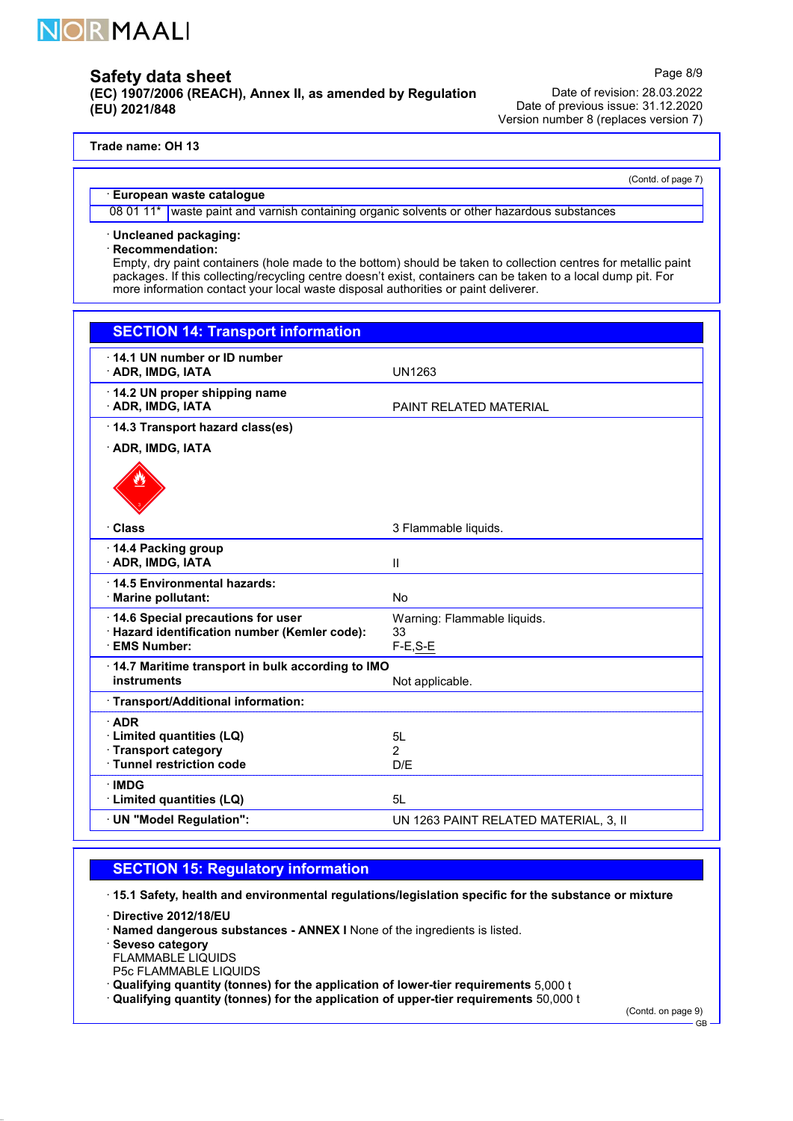

(EC) 1907/2006 (REACH), Annex II, as amended by Regulation (EU) 2021/848

Date of revision: 28.03.2022 Date of previous issue: 31.12.2020 Version number 8 (replaces version 7)

### Trade name: OH 13

(Contd. of page 7)

Page 8/9

### · European waste catalogue

08 01 11\* waste paint and varnish containing organic solvents or other hazardous substances

· Uncleaned packaging:

· Recommendation:

Empty, dry paint containers (hole made to the bottom) should be taken to collection centres for metallic paint packages. If this collecting/recycling centre doesn't exist, containers can be taken to a local dump pit. For more information contact your local waste disposal authorities or paint deliverer.

| <b>SECTION 14: Transport information</b>                                                                 |                                                 |  |
|----------------------------------------------------------------------------------------------------------|-------------------------------------------------|--|
| 14.1 UN number or ID number<br><b>ADR, IMDG, IATA</b>                                                    | UN1263                                          |  |
| 14.2 UN proper shipping name<br><b>ADR, IMDG, IATA</b>                                                   | <b>PAINT RELATED MATERIAL</b>                   |  |
| 14.3 Transport hazard class(es)                                                                          |                                                 |  |
| <b>ADR, IMDG, IATA</b>                                                                                   |                                                 |  |
|                                                                                                          |                                                 |  |
| · Class                                                                                                  | 3 Flammable liquids.                            |  |
| 14.4 Packing group<br><b>ADR, IMDG, IATA</b>                                                             | Ш                                               |  |
| 14.5 Environmental hazards:<br>· Marine pollutant:                                                       | <b>No</b>                                       |  |
| 14.6 Special precautions for user<br>· Hazard identification number (Kemler code):<br><b>EMS Number:</b> | Warning: Flammable liquids.<br>33<br>$F-E, S-E$ |  |
|                                                                                                          |                                                 |  |
| 14.7 Maritime transport in bulk according to IMO<br>instruments                                          | Not applicable.                                 |  |
| · Transport/Additional information:                                                                      |                                                 |  |
| ADR<br>· Limited quantities (LQ)<br>Transport category<br>· Tunnel restriction code                      | 5L<br>$\overline{2}$<br>D/E                     |  |
| <b>IMDG</b><br>· Limited quantities (LQ)                                                                 | 5L                                              |  |
| · UN "Model Regulation":                                                                                 | UN 1263 PAINT RELATED MATERIAL, 3, II           |  |

## SECTION 15: Regulatory information

· 15.1 Safety, health and environmental regulations/legislation specific for the substance or mixture

· Directive 2012/18/EU

· Named dangerous substances - ANNEX I None of the ingredients is listed.

· Seveso category

FLAMMABLE LIQUIDS

P5c FLAMMABLE LIQUIDS

· Qualifying quantity (tonnes) for the application of lower-tier requirements 5,000 t

· Qualifying quantity (tonnes) for the application of upper-tier requirements 50,000 t

(Contd. on page 9) GB